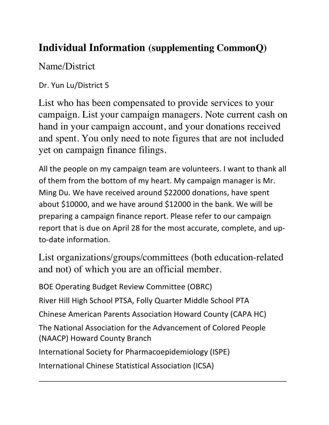## **Individual Information (supplementing CommonQ)**

## Name/District

## Dr. Yun Lu/District 5

List who has been compensated to provide services to your campaign. List your campaign managers. Note current cash on hand in your campaign account, and your donations received and spent. You only need to note figures that are not included yet on campaign finance filings.

All the people on my campaign team are volunteers. I want to thank all of them from the bottom of my heart. My campaign manager is Mr. Ming Du. We have received around \$22000 donations, have spent about \$10000, and we have around \$12000 in the bank. We will be preparing a campaign finance report. Please refer to our campaign report that is due on April 28 for the most accurate, complete, and upto-date information.

List organizations/groups/committees (both education-related and not) of which you are an official member.

BOE Operating Budget Review Committee (OBRC) River Hill High School PTSA, Folly Quarter Middle School PTA Chinese American Parents Association Howard County (CAPA HC) The National Association for the Advancement of Colored People (NAACP) Howard County Branch International Society for Pharmacoepidemiology (ISPE) International Chinese Statistical Association (ICSA)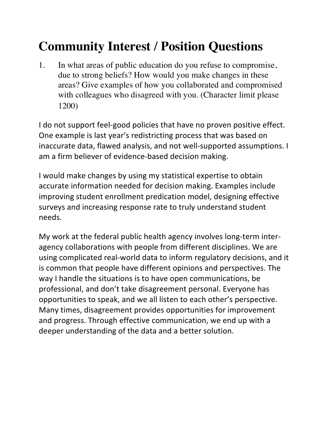## **Community Interest / Position Questions**

1. In what areas of public education do you refuse to compromise, due to strong beliefs? How would you make changes in these areas? Give examples of how you collaborated and compromised with colleagues who disagreed with you. (Character limit please 1200)

I do not support feel-good policies that have no proven positive effect. One example is last year's redistricting process that was based on inaccurate data, flawed analysis, and not well-supported assumptions. I am a firm believer of evidence-based decision making.

I would make changes by using my statistical expertise to obtain accurate information needed for decision making. Examples include improving student enrollment predication model, designing effective surveys and increasing response rate to truly understand student needs.

My work at the federal public health agency involves long-term interagency collaborations with people from different disciplines. We are using complicated real-world data to inform regulatory decisions, and it is common that people have different opinions and perspectives. The way I handle the situations is to have open communications, be professional, and don't take disagreement personal. Everyone has opportunities to speak, and we all listen to each other's perspective. Many times, disagreement provides opportunities for improvement and progress. Through effective communication, we end up with a deeper understanding of the data and a better solution.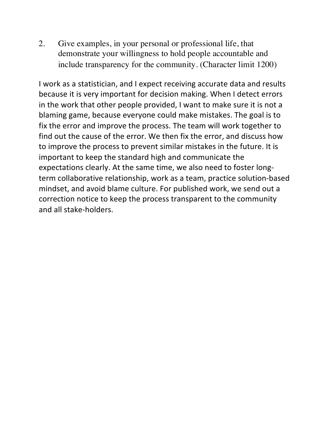2. Give examples, in your personal or professional life, that demonstrate your willingness to hold people accountable and include transparency for the community. (Character limit 1200)

I work as a statistician, and I expect receiving accurate data and results because it is very important for decision making. When I detect errors in the work that other people provided, I want to make sure it is not a blaming game, because everyone could make mistakes. The goal is to fix the error and improve the process. The team will work together to find out the cause of the error. We then fix the error, and discuss how to improve the process to prevent similar mistakes in the future. It is important to keep the standard high and communicate the expectations clearly. At the same time, we also need to foster longterm collaborative relationship, work as a team, practice solution-based mindset, and avoid blame culture. For published work, we send out a correction notice to keep the process transparent to the community and all stake-holders.